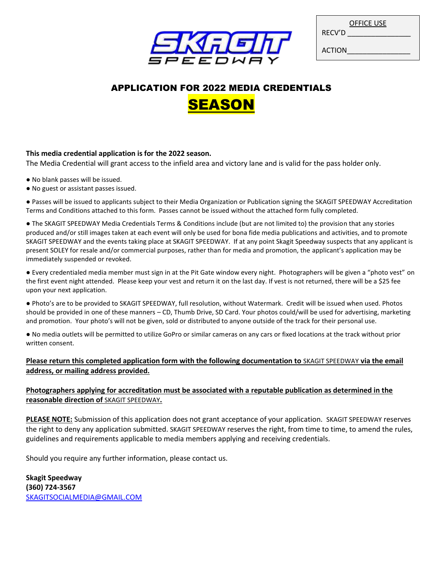

|               | OFFICE USE |
|---------------|------------|
| RECV'D        |            |
| <b>ACTION</b> |            |

# APPLICATION FOR 2022 MEDIA CREDENTIALS **SEASON**

#### **This media credential application is for the 2022 season.**

The Media Credential will grant access to the infield area and victory lane and is valid for the pass holder only.

- No blank passes will be issued.
- No guest or assistant passes issued.

● Passes will be issued to applicants subject to their Media Organization or Publication signing the SKAGIT SPEEDWAY Accreditation Terms and Conditions attached to this form. Passes cannot be issued without the attached form fully completed.

● The SKAGIT SPEEDWAY Media Credentials Terms & Conditions include (but are not limited to) the provision that any stories produced and/or still images taken at each event will only be used for bona fide media publications and activities, and to promote SKAGIT SPEEDWAY and the events taking place at SKAGIT SPEEDWAY. If at any point Skagit Speedway suspects that any applicant is present SOLEY for resale and/or commercial purposes, rather than for media and promotion, the applicant's application may be immediately suspended or revoked.

● Every credentialed media member must sign in at the Pit Gate window every night. Photographers will be given a "photo vest" on the first event night attended. Please keep your vest and return it on the last day. If vest is not returned, there will be a \$25 fee upon your next application.

● Photo's are to be provided to SKAGIT SPEEDWAY, full resolution, without Watermark. Credit will be issued when used. Photos should be provided in one of these manners – CD, Thumb Drive, SD Card. Your photos could/will be used for advertising, marketing and promotion. Your photo's will not be given, sold or distributed to anyone outside of the track for their personal use.

● No media outlets will be permitted to utilize GoPro or similar cameras on any cars or fixed locations at the track without prior written consent.

### **Please return this completed application form with the following documentation to** SKAGIT SPEEDWAY **via the email address, or mailing address provided.**

#### **Photographers applying for accreditation must be associated with a reputable publication as determined in the reasonable direction of** SKAGIT SPEEDWAY**.**

**PLEASE NOTE:** Submission of this application does not grant acceptance of your application. SKAGIT SPEEDWAY reserves the right to deny any application submitted. SKAGIT SPEEDWAY reserves the right, from time to time, to amend the rules, guidelines and requirements applicable to media members applying and receiving credentials.

Should you require any further information, please contact us.

**Skagit Speedway (360) 724-3567** [SKAGITSOCIALMEDIA@GMAIL.COM](mailto:SkagitSocialmedia@gmail.com)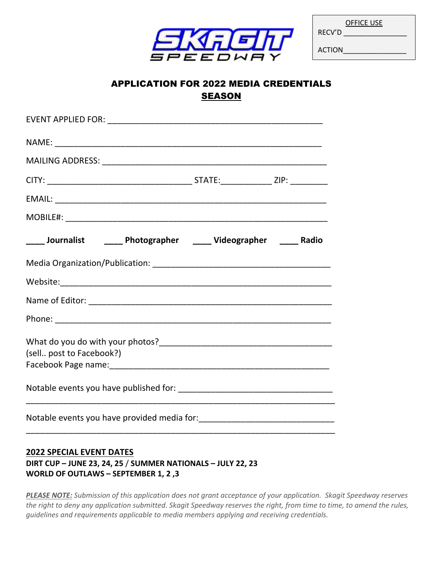

|        | <b>OFFICE USE</b> |  |
|--------|-------------------|--|
| RECV'D |                   |  |

ACTION\_\_\_\_\_\_\_\_\_\_\_\_\_\_\_\_

## APPLICATION FOR 2022 MEDIA CREDENTIALS SEASON

| ____ Journalist _______ Photographer _____ Videographer _____ Radio |  |  |  |  |
|---------------------------------------------------------------------|--|--|--|--|
|                                                                     |  |  |  |  |
|                                                                     |  |  |  |  |
|                                                                     |  |  |  |  |
|                                                                     |  |  |  |  |
| (sell post to Facebook?)                                            |  |  |  |  |
|                                                                     |  |  |  |  |
|                                                                     |  |  |  |  |
|                                                                     |  |  |  |  |

### **2022 SPECIAL EVENT DATES DIRT CUP – JUNE 23, 24, 25** / **SUMMER NATIONALS – JULY 22, 23 WORLD OF OUTLAWS – SEPTEMBER 1, 2 ,3**

*PLEASE NOTE: Submission of this application does not grant acceptance of your application. Skagit Speedway reserves the right to deny any application submitted. Skagit Speedway reserves the right, from time to time, to amend the rules, guidelines and requirements applicable to media members applying and receiving credentials.*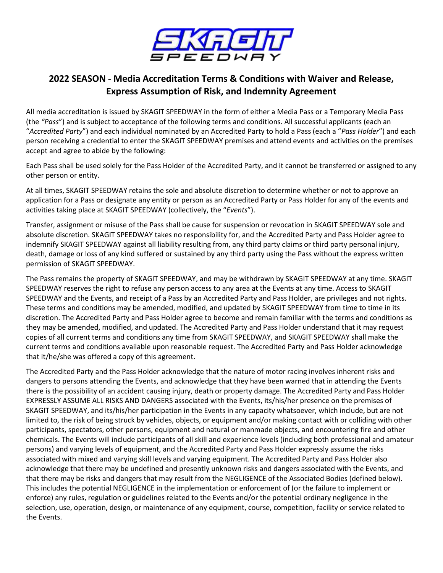

## **2022 SEASON - Media Accreditation Terms & Conditions with Waiver and Release, Express Assumption of Risk, and Indemnity Agreement**

All media accreditation is issued by SKAGIT SPEEDWAY in the form of either a Media Pass or a Temporary Media Pass (the *"Pass*") and is subject to acceptance of the following terms and conditions. All successful applicants (each an "*Accredited Party*") and each individual nominated by an Accredited Party to hold a Pass (each a "*Pass Holder*") and each person receiving a credential to enter the SKAGIT SPEEDWAY premises and attend events and activities on the premises accept and agree to abide by the following:

Each Pass shall be used solely for the Pass Holder of the Accredited Party, and it cannot be transferred or assigned to any other person or entity.

At all times, SKAGIT SPEEDWAY retains the sole and absolute discretion to determine whether or not to approve an application for a Pass or designate any entity or person as an Accredited Party or Pass Holder for any of the events and activities taking place at SKAGIT SPEEDWAY (collectively, the "*Events*").

Transfer, assignment or misuse of the Pass shall be cause for suspension or revocation in SKAGIT SPEEDWAY sole and absolute discretion. SKAGIT SPEEDWAY takes no responsibility for, and the Accredited Party and Pass Holder agree to indemnify SKAGIT SPEEDWAY against all liability resulting from, any third party claims or third party personal injury, death, damage or loss of any kind suffered or sustained by any third party using the Pass without the express written permission of SKAGIT SPEEDWAY.

The Pass remains the property of SKAGIT SPEEDWAY, and may be withdrawn by SKAGIT SPEEDWAY at any time. SKAGIT SPEEDWAY reserves the right to refuse any person access to any area at the Events at any time. Access to SKAGIT SPEEDWAY and the Events, and receipt of a Pass by an Accredited Party and Pass Holder, are privileges and not rights. These terms and conditions may be amended, modified, and updated by SKAGIT SPEEDWAY from time to time in its discretion. The Accredited Party and Pass Holder agree to become and remain familiar with the terms and conditions as they may be amended, modified, and updated. The Accredited Party and Pass Holder understand that it may request copies of all current terms and conditions any time from SKAGIT SPEEDWAY, and SKAGIT SPEEDWAY shall make the current terms and conditions available upon reasonable request. The Accredited Party and Pass Holder acknowledge that it/he/she was offered a copy of this agreement.

The Accredited Party and the Pass Holder acknowledge that the nature of motor racing involves inherent risks and dangers to persons attending the Events, and acknowledge that they have been warned that in attending the Events there is the possibility of an accident causing injury, death or property damage. The Accredited Party and Pass Holder EXPRESSLY ASSUME ALL RISKS AND DANGERS associated with the Events, its/his/her presence on the premises of SKAGIT SPEEDWAY, and its/his/her participation in the Events in any capacity whatsoever, which include, but are not limited to, the risk of being struck by vehicles, objects, or equipment and/or making contact with or colliding with other participants, spectators, other persons, equipment and natural or manmade objects, and encountering fire and other chemicals. The Events will include participants of all skill and experience levels (including both professional and amateur persons) and varying levels of equipment, and the Accredited Party and Pass Holder expressly assume the risks associated with mixed and varying skill levels and varying equipment. The Accredited Party and Pass Holder also acknowledge that there may be undefined and presently unknown risks and dangers associated with the Events, and that there may be risks and dangers that may result from the NEGLIGENCE of the Associated Bodies (defined below). This includes the potential NEGLIGENCE in the implementation or enforcement of (or the failure to implement or enforce) any rules, regulation or guidelines related to the Events and/or the potential ordinary negligence in the selection, use, operation, design, or maintenance of any equipment, course, competition, facility or service related to the Events.